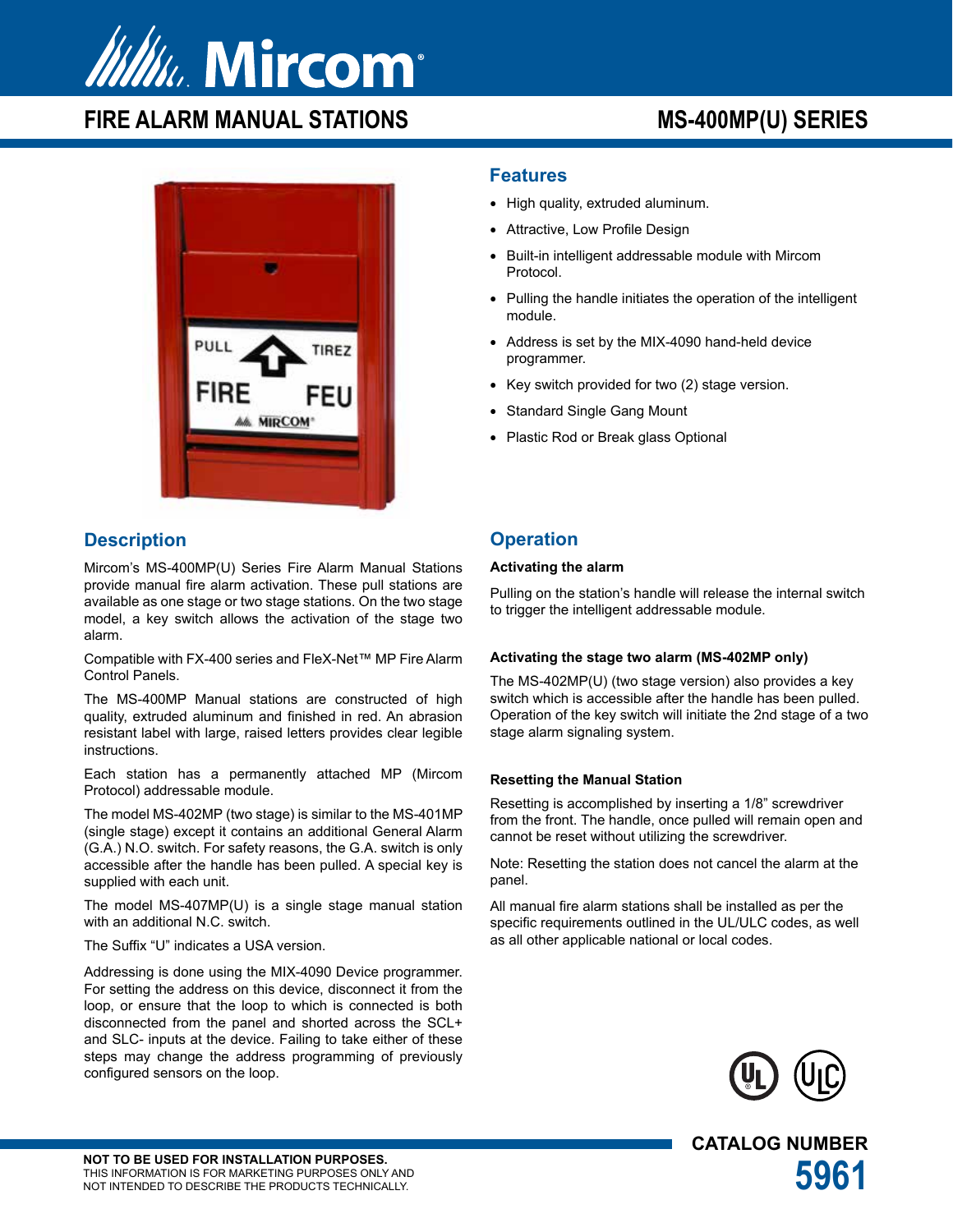

# FIRE ALARM MANUAL STATIONS MS-400MP(U) SERIES



## **Description**

Mircom's MS-400MP(U) Series Fire Alarm Manual Stations provide manual fire alarm activation. These pull stations are available as one stage or two stage stations. On the two stage model, a key switch allows the activation of the stage two alarm.

Compatible with FX-400 series and FleX-Net™ MP Fire Alarm Control Panels.

The MS-400MP Manual stations are constructed of high quality, extruded aluminum and finished in red. An abrasion resistant label with large, raised letters provides clear legible instructions.

Each station has a permanently attached MP (Mircom Protocol) addressable module.

The model MS-402MP (two stage) is similar to the MS-401MP (single stage) except it contains an additional General Alarm (G.A.) N.O. switch. For safety reasons, the G.A. switch is only accessible after the handle has been pulled. A special key is supplied with each unit.

The model MS-407MP(U) is a single stage manual station with an additional N.C. switch.

The Suffix "U" indicates a USA version.

Addressing is done using the MIX-4090 Device programmer. For setting the address on this device, disconnect it from the loop, or ensure that the loop to which is connected is both disconnected from the panel and shorted across the SCL+ and SLC- inputs at the device. Failing to take either of these steps may change the address programming of previously configured sensors on the loop.

### **Features**

- High quality, extruded aluminum.
- Attractive, Low Profile Design
- Built-in intelligent addressable module with Mircom Protocol.
- Pulling the handle initiates the operation of the intelligent module.
- Address is set by the MIX-4090 hand-held device programmer.
- Key switch provided for two (2) stage version.
- **Standard Single Gang Mount**
- Plastic Rod or Break glass Optional

## **Operation**

#### **Activating the alarm**

Pulling on the station's handle will release the internal switch to trigger the intelligent addressable module.

### **Activating the stage two alarm (MS-402MP only)**

The MS-402MP(U) (two stage version) also provides a key switch which is accessible after the handle has been pulled. Operation of the key switch will initiate the 2nd stage of a two stage alarm signaling system.

### **Resetting the Manual Station**

Resetting is accomplished by inserting a 1/8" screwdriver from the front. The handle, once pulled will remain open and cannot be reset without utilizing the screwdriver.

Note: Resetting the station does not cancel the alarm at the panel.

All manual fire alarm stations shall be installed as per the specific requirements outlined in the UL/ULC codes, as well as all other applicable national or local codes.



**CATALOG NUMBER**